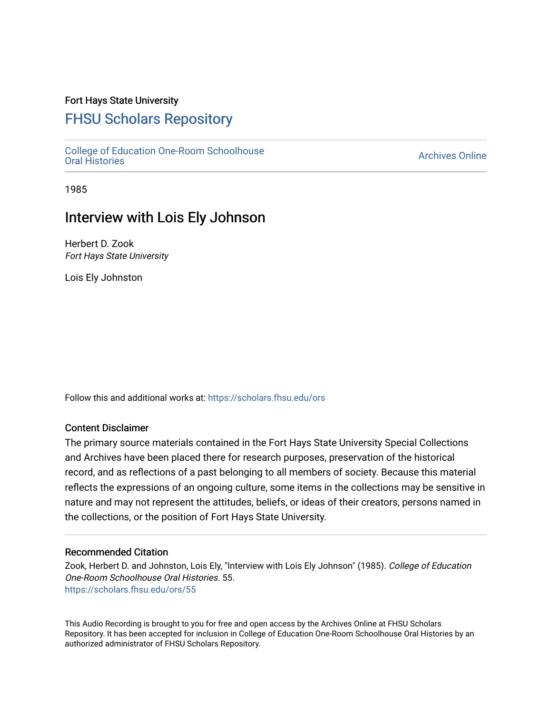## Fort Hays State University

# [FHSU Scholars Repository](https://scholars.fhsu.edu/)

[College of Education One-Room Schoolhouse](https://scholars.fhsu.edu/ors) [Oral Histories](https://scholars.fhsu.edu/ors) [Archives Online](https://scholars.fhsu.edu/archives) 

1985

## Interview with Lois Ely Johnson

Herbert D. Zook Fort Hays State University

Lois Ely Johnston

Follow this and additional works at: [https://scholars.fhsu.edu/ors](https://scholars.fhsu.edu/ors?utm_source=scholars.fhsu.edu%2Fors%2F55&utm_medium=PDF&utm_campaign=PDFCoverPages) 

### Content Disclaimer

The primary source materials contained in the Fort Hays State University Special Collections and Archives have been placed there for research purposes, preservation of the historical record, and as reflections of a past belonging to all members of society. Because this material reflects the expressions of an ongoing culture, some items in the collections may be sensitive in nature and may not represent the attitudes, beliefs, or ideas of their creators, persons named in the collections, or the position of Fort Hays State University.

#### Recommended Citation

Zook, Herbert D. and Johnston, Lois Ely, "Interview with Lois Ely Johnson" (1985). College of Education One-Room Schoolhouse Oral Histories. 55. [https://scholars.fhsu.edu/ors/55](https://scholars.fhsu.edu/ors/55?utm_source=scholars.fhsu.edu%2Fors%2F55&utm_medium=PDF&utm_campaign=PDFCoverPages)

This Audio Recording is brought to you for free and open access by the Archives Online at FHSU Scholars Repository. It has been accepted for inclusion in College of Education One-Room Schoolhouse Oral Histories by an authorized administrator of FHSU Scholars Repository.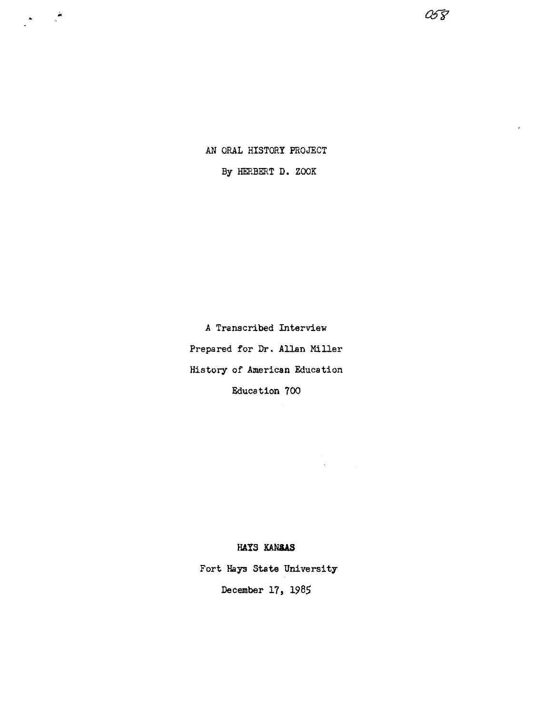AN ORAL HISTORY PROJECT

 $\begin{array}{c}\n\bullet & \bullet \\
\bullet & \bullet\n\end{array}$ 

By HERBERT D. ZOOK

*a5"f1* 

A Transcribed Interview Prepared for Dr. Allan Miller History of American Education Education 700

#### **HAYS KANaAS**

 $\begin{aligned} \mathcal{L}_{\text{max}}(\mathbf{r}) & = \mathcal{L}_{\text{max}}(\mathbf{r}) \end{aligned}$   $\begin{aligned} \mathbf{A} & = \mathcal{L}_{\text{max}}(\mathbf{r}) \end{aligned}$ 

Fort **Hays State** University December 17, 1985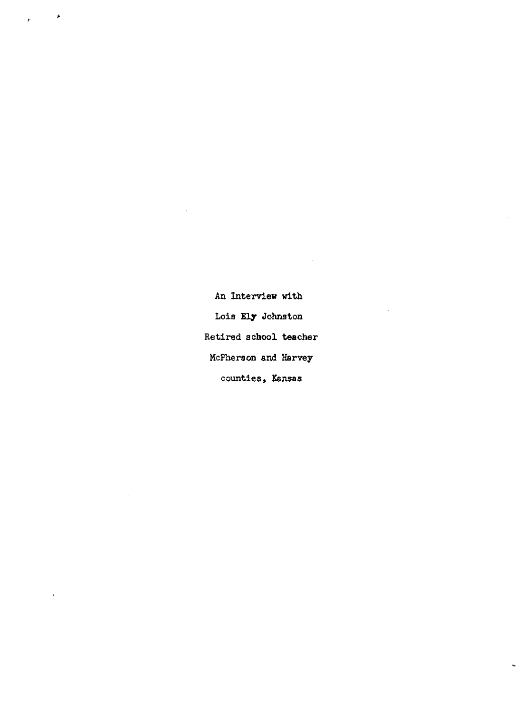An Interview with Lois Ely Johnston Retired school teacher McPherson and Harvey counties, Kansas

 $\ddot{\phantom{0}}$ 

J,

۶

 $\bar{\epsilon}$ 

 $\hat{P}$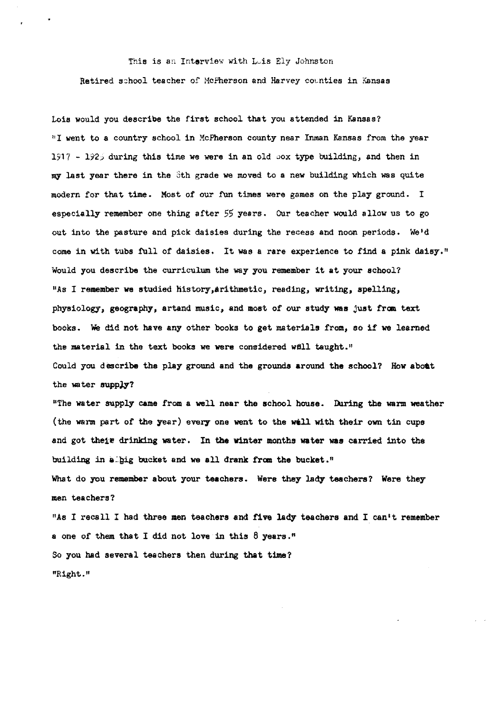This is an Interview with Luis Ely Johnston Retired school teacher of McPherson and Harvey counties in Kansas

Lois would you describe the first school that you attended in Kansas? "I went to a country school in McPherson county near Inman Kansas from the year 1917 - 1925 during this time we were in an old sox type building, and then in my last year there in the 3th grade we moved to a new building which was quite modern for that time. Most of our fun times were games on the play ground. I especially remember one thing after 55 years. our teacher would allow us to go out into the pasture and pick daisies during the recess and noon periods. We'd come in with tubs full of daisies. It was a rare experience to find a pink daisy." Would you describe the curriculum the way you remember it at your school? "As I remember we studied history, arithmetic, reading, writing, spelling, physiology, geography, artand music, and most of our study was just from text books. We did not have any other books to get materials from, so if we learned the material in the text books we were considered well taught." Could you describe the play ground and the grounds around the school? How aboat the water supply?

"The water supply came from a well near the school house. During the warm weather (the warm part of the year) every one went to the well with their own tin cups and got their drinking water. In the winter months water was carried into the building in albig bucket and we all drank from the bucket."

What do you remember about your teachers. Were they lady teachers? Were they men teachers?

"As I recall I had three men teachers and five lady teachers and I can't remember a one of them that I did not love in this  $8$  years." So you had several teachers then during that time? "Right."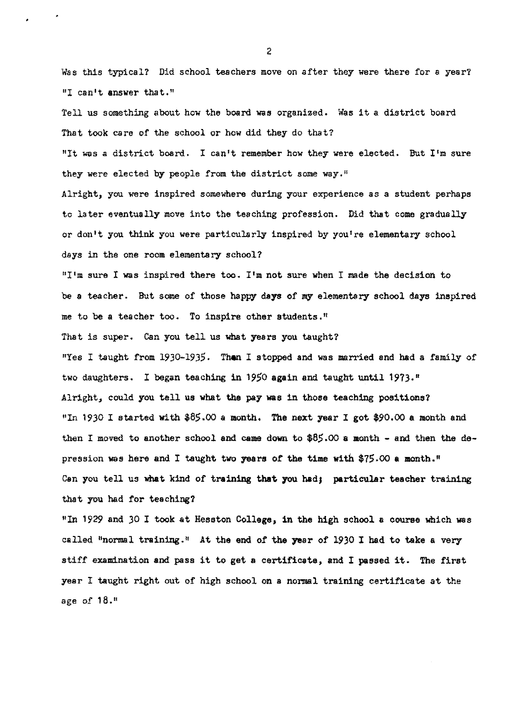Was this typical? Did school teachers move on after they were there for a year? "I can't **answer** that,"

Tell us something about how the board was organized. Was it a district board That took care of the school or how did they do that?

"It was a district board. I can't remember how they were elected. But I'm sure they were elected by people from the district some way."

Alright, you were inspired somewhere during your experience as a student perhaps to later eventually move into the teaching profession. Did that come gradually or don't you think you were particularly inspired by you're elementary school days in the one room elementary school?

"I'm sure I was inspired there too. I'm not sure when I made the decision to be **a** teacher. But some of those happy **days** of my elementary school days inspired me to be a teacher too. To inspire other students."

That is super. Can you tell us what years you taught?

"Yes I taught from 1930-1935. **Then** I stopped and was married and had a family of two daughters. I began teaching in 1950 again and taught until 1973.<sup>"</sup> Alright, could you tell us what the pay was in those teaching positions? "In 1930 I started with \$8\$.00 a month, The next year I got \$90,00 **a** month and then I moved to another school and came down to  $$85.00$  a month - and then the depression was here and I taught two years of the time with \$75.00 **a** month." Can you tell us what kind of training that you had; particular teacher training that you had for teaching?

''In 1929 and *30* I took at Hesston College, in the high school a course which was called "normal training." At the end of the year of 1930 I had to take a very stiff examination and pass it to get **a** certificate, and I passed it. The first year I taught right out of high school on **a** normal training certificate at the age of  $18.$ <sup>11</sup>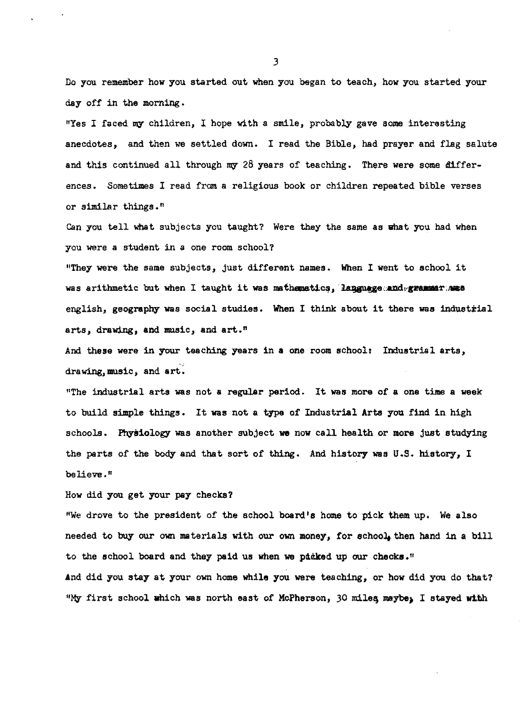Do you remember how you started out when you began to teach, how you started your day off in the morning •

"Yes I faced my children, I hope with a smile, probably gave some interesting anecdotes, and then we settled down. I read the Bible, had prayer and flag salute and this continued all through my 28 years of teaching. There were some differences. Sometimes I read from a religious book or children repeated bible verses or similar things.<sup> $#$ </sup>

Can you tell what subjects you taught? Were they the same as what you had when you were a student in a one room school?

"They were the same subjects, just different names. When I went to school it was arithmetic but when I taught it was mathamatics, language and grammar; mas english, geography was social studies. When I think about it there was industrial arts, drawing, and music, and art."

And these were in your teaching years in **a** one room school: Industrial arts, drawing, music, and art.

"The industrial arts was not **a** regular period. It was more of a one time a week to build simple things. It was not a type of Industrial Arts you find in high schools. Physiology was another subject we now call health or more just studying the parts of the body and that sort of thing. And history was U.S. history, I believe."

How did you get your pay checks?

"We drove to the president of the school board's home to pick them up. We also needed to buy our own materials with our own money, for school, then hand in a bill to the school board and they paid us when we picked up our checks." And did you stay at your own home while you were teaching, or how did you do that? "My first school which was north east of McPherson, 30 miles maybe, I stayed with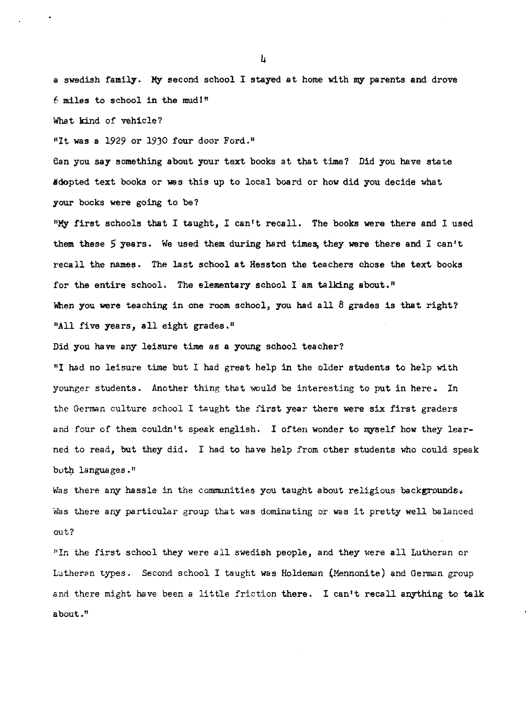a swedish family. **MiY'** second school I stayed at home with my parents **and** drove  $6$  miles to school in the mudl<sup>#</sup>

What kind of vehicle?

<sup>#It was a 1929 or 1930 four door Ford.<sup>#</sup></sup>

ean you say something about your text books at that time? Did you have state dopted text books or was this up to local board or how did you decide what your books were going to be?

**"MiY'** first schools that I taught, I can't recall. The books were there and I used them these *5* years. We used them during hard times, they **were** there and I can't recall the names. The last school at Hesston the teachers chose the text books for the entire school. The elementary school I am talking about." When you were teaching in one room school, you had all  $8$  grades is that right? "All five years, all eight grades."

Did you have any leisure time as a young school teacher?

"I had no leisure time but I had great help in the older students to help with younger students. Another thing that would be interesting to put in here. In the German culture school I taught the first year there were six first graders and four of them couldn't speak english. I often wonder to myself how they learned to read, but they did. I had to have help from other students who could speak both languages."

Was there any hassle in the communities you taught about religious backgrounds, Was there any particular group that was dominating or was it pretty well balanced out?

"In the first school they were all swedish people, and they were all Lutheran or Lutheran types. Second school I taught was Holdeman (Mennonite) and German group and there might have been a little friction there. I can't recall anything to talk about."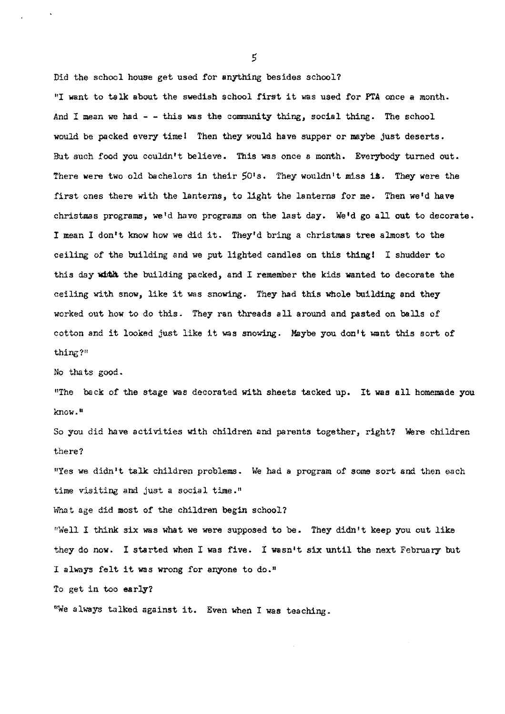Did the school house get used for anything besides school? "I want to talk about the swedish school first it was used for PTA once a month. And I mean we had  $-$  - this was the community thing, social thing. The school would be packed every timel Then they would have supper or maybe just deserts. But such food you couldn't believe. This was once a month. Everybody turned out. There were two old bachelors in their 501s. They wouldn't miss **ia.** They were the first ones there with the lanterns, to light the lanterns for me. Then we'd have christmas programs, we'd have programs on the last day. We'd go all out to decorate. I mean I don't know how we did it. They'd bring a christmas tree almost to the ceiling of the building and we put lighted candles on this thing! I shudder to this day with the building packed, and I remember the kids wanted to decorate the ceiling with snow, like it was snowing. They had this whole building and they worked out how to do this. They ran threads all around and pasted on balls of cotton and it looked just like it was snowing. Maybe you don't want this sort of thing?"

No thats good.

"The back of the stage was decorated with sheets tacked up. It was all homemade you know."

So you did have activities with children and parents together, right? Were children there?

"Yes we didn't talk children problems. We had a program of some sort and then each time visiting and just a social time."

What age did most of the children begin school?

"Well I think six was what we were supposed to be. They didn't keep you out like they do now. I started when I was five. I wasn't six until the next February but I always felt it was wrong for anyone to do."

To get in too **early?** 

"We always talked against it. Even when I was teaching.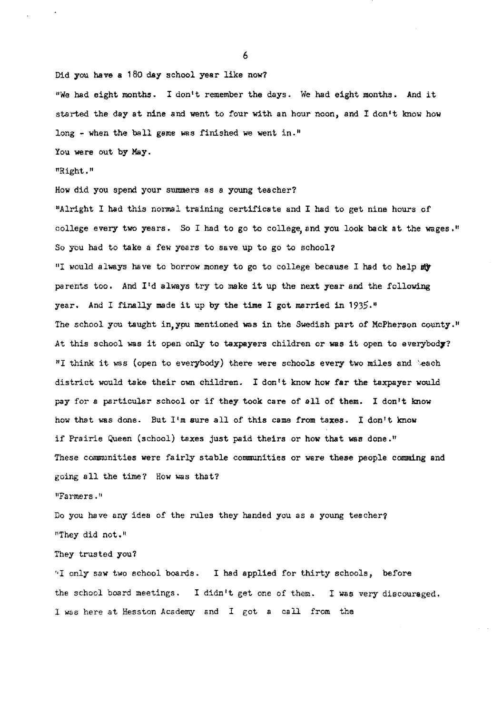Did you have a 180 day school year like now? "We had eight months. I don't remember the days. We had eight months. And it started the day at nine and went to four with an hour noon, and I don't know how long - when the ball game was finished we went in."

You were out by May.

#### "Right."

How did you spend your summers as a young teacher? "Alright I had this normal training certificate and I had to get nine hours of college every two years. So I had to go to college, and you look back at the wages." So you had to take a few years to save up to go to school? "I would always have to borrow money to go to college because I had to help  $m$ parents too. And I'd always try to make it up the next year and the following year. And I finally made it up by the time I got married in 1935." The school you taught in,ypu mentioned **was** in the Swedish part of McPherson county. <sup>11</sup> At this school was it open only to taxpayers children or was it open to everybody? "I think it was (open to everybody) there were schools every two miles and 'each district would take their own children. I don 1t know how **far** the taxpayer would pay for a particular school or if they took care of all of them. I don't know how that was done. But I'm sure all of this came from taxes. I don't know if Prairie Queen (school) taxes just paid theirs or how that was done," These communities were fairly stable communities or were these people comming and going all the time? How was that?

"Farmers·"

Do you have any idea of the rules they handed you as a young teacher? "They did not."

They trusted you?

·•I onl1 saw two school boards. I had applied for thirty schools, before the school board meetings. I didn't get one of them. I was very discouraged. I was here at Hesston Academy and I got a call from the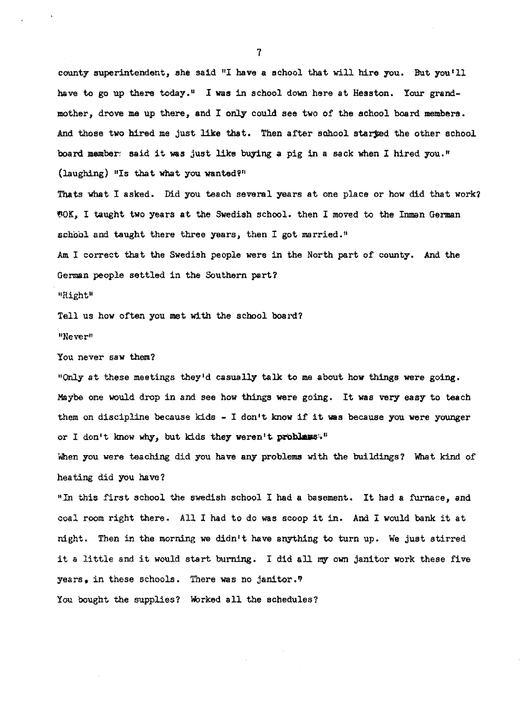county superintendent, she said "I have a school that will hire you. But you'll have to go up there today," I **was** in school down here at Hesston. Your grandmother, drove me up there, and I only could see two of the school board members. And those two hired me just like that. Then after school starged the other school board member; said it was just like buying a pig in a sack when I hired you." (laughing) "Is that what you wanted?"

Thats what I asked. Did you teach several years at one place or how did that work? tlOK, I taught two years at the Swedish school. then I moved to the Inman German school and taught there three years, then I got married."

Am I correct that the Swedish people were in the North part of county. And the German people settled in the Southern part?

11Right"

Tell us how often you met with the school board?

"Never"

You never saw them?

"Only at these meetings they'd casually talk to me about **how** things were going. Maybe one would drop in and see how things were going. It was very easy to teach them on discipline because kids - I don't know if it was because you were younger or I don't know why, but kids they weren't **problems**<sup>11</sup>

When you were teaching did you have any problems with the buildings? What kind of heating did you have?

<sup>11</sup> In this first school the swedish school I had a basement. It had a furnace, and coal room right there. All I had to do was scoop it in. And I would bank it at night. Then in the morning we didn't have anything to turn up. We just stirred it a little and it would start burning. I did all my own janitor work these five years. in these schools. There was no janitor. $\bar{r}$ 

You bought the supplies? Worked all the schedules?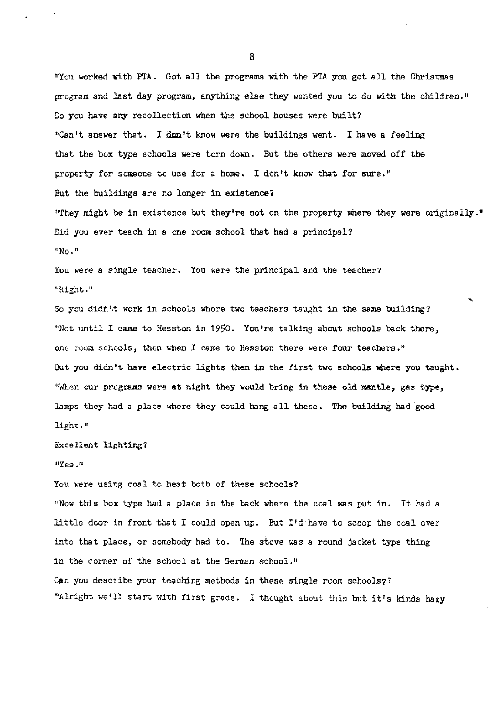"You worked with PTA. Got all the programs with the PTA you got all the Christmas program and last day program, anything else they wanted you to do with the children." Do you have any recollection when the school houses were built? "Can't answer that. I don't know were the buildings went. I have a feeling that the box type schools were torn down. But the others were moved off the property for someone to use for a home. I don't know that for sure." But the buildings are no longer in existence? "They might be in existence but they're not on the property where they were originally." Did you ever teach in a one room school that had a principal? **<sup>0</sup> No.u** 

You were a single teacher. You were the principal and the teacher? **11Right. <sup>11</sup>**

So you didn't work in schools where two teachers taught in the same building? "Not until I came to Hesston in 1950. You're talking about schools back there, one room schools, then when I came to Hesston there were four teachers." But you didn't have electric lights then in the first two schools where you taught. "When our programs were at night they would bring in these old mantle, gas type, lamps they had a place where they could hang all these. The building had good light,"

Excellent lighting?

**11Yes.n** 

You were using coal to heat both of these schools?

<sup>11</sup> Now this box type had a place in the back where the coal was put in. It had a little door in front that I could open up. But I'd have to scoop the coal over into that place, or somebody had to. The stove was a round jacket type thing in the corner of the school at the German school." Can you describe your teaching methods in these single room schools?? "Alright we'll start with first grade. I thought about this but it's kinda hazy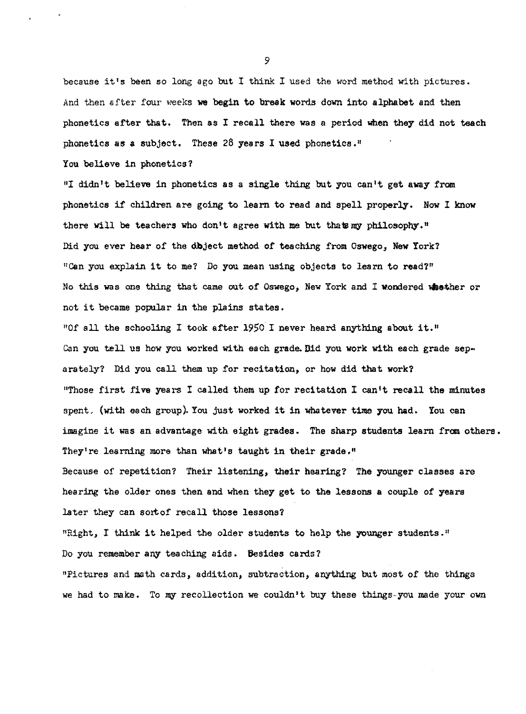because it's been so long ago but I think I used the word method with pictures. And then after four weeks **we** begin to break words down into alphabet and then phonetics after that. Then as I recall there was a period when they did not teach phonetics as a subject. These 28 years I used phonetics.<sup>11</sup>

You believe in phonetics?

"I didn't believe in phonetics as a single thing but you can't get away from phonetics if children are going to learn to read and spell properly. Now I know there will be teachers who don't agree with me but that my philosophy." Did you ever hear of the dbject method of teaching from Oswego, New York? "Can you explain it to me? Do you mean using objects to learn to read?" No this was one thing that came out of Oswego, New York and I wondered whether or not it became popular in the plains states.

"Of all the schooling I took after 1950 I never heard anything about it." Can you tell us how you worked with each grade. Bid you work with each grade separately? Did you call them up for recitation, or how did that work? "Those first five years I called them up for recitation I can't recall the minutes spent. (with each group). You just worked it in whatever time you had. You can imagine it was an advantage with eight grades. The sharp students learn from others. They're learning more than what's taught in their grade."

Because of repetition? Their listening, their hearing? The younger classes are hearing the older ones then and when they get to the lessons **a** couple of years later they can sort of recall those lessons?

"Right, I think it helped the older students to help the younger students."

Do you remember any teaching aids. Besides cards?

"Pictures and math cards, addition, subtraction, anything but most of the things we had to make. To my recollection we couldn't buy these things-you made your own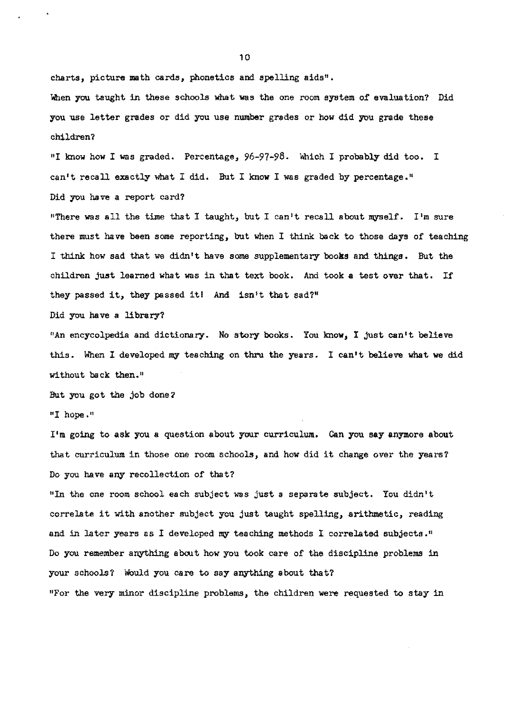charts, picture math cards, phonetics and spelling aids".

When you taught in these schools what was the one room system of evaluation? Did you use letter grades or did you use number grades or how did you grade these children?

<sup>11</sup> I know how I was graded. Percentage, 96-97-98. Which I probably did too. I can't recall exactly what I did. But I know I was graded by percentage." Did you have a report card?

"There was all the time that I taught, but I can't recall about myself. I'm sure there must have been some reporting, but when I think back to those days of teaching I think how sad that we didn't have some supplementary **books** and things. But the children just learned what was in that text book. And took **a** test over that. If they passed it, they passed itl And isn't that sad?"

Did you have a library?

"An encycolpedia and dictionary. No story books. You know, I just can't believe this. When I developed my teaching on thru the years. I can't believe what we did without back then."

But you got the job done?

"I hope."

I'm going to ask you a question about your curriculum.. Can you **say** anymore about that curriculum in those one room schools, and how did it change over the years? Do you have any recollection of that?

"In the one room school each subject was just a separate subject. You didn't correlste it with another subject you just taught spelling, arithmetic, reading and in later years as I developed my teaching methods I correlated subjects.<sup>11</sup> Do you remember anything about how you took care of the discipline problems in your schools? Would you care to say anything about that?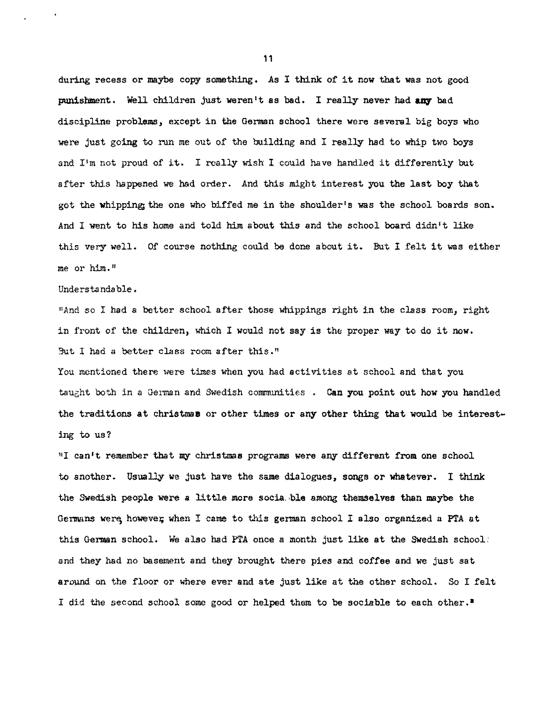during recess or maybe copy something. As I think of it now that was not good punishment. Well children just weren't as bad. I really never had any bad discipline problams, except in the German school there were several big boys who were just going to run me out of the building and I really had to whip two boys and I'm not proud of it. I really wish I could have handled it differently but after this happened we had order. And this might interest you the last boy that got the whipping;the one who biffed me in the shoulder's was the school boards son. And I went to his home and told him about this and the school board didn't like this very well. Of course nothing could be done about it. But I felt it was either me or him,"

Understandable.

<sup>11</sup> And so I had a better school after those whippings right in the class room, right in front of the children, which I would not say is the proper **way** to do it **now.**  But I had a better class room after this."

You mentioned there were times when you had activities at school and that you taught both in a German and Swedish communities . Can you point out how you handled the traditions at christmas or other times or any other thing that would be interesting to us?

"I can't remember that my christmas programs were any different from one school to another. Usually we just have the same dialogues, songs or whatever. I think the Swedish people were a little more socia, ble among themselves than maybe the Germans were however, when I came to this german school I also organized a PTA at this German school. We also had PTA once a month just like at the Swedish school: and they had no basement and they brought there pies and coffee and we just sat around on the floor or where ever and ate just like at the other school. So I felt I did the second school some good or helped them to be sociable to each other.•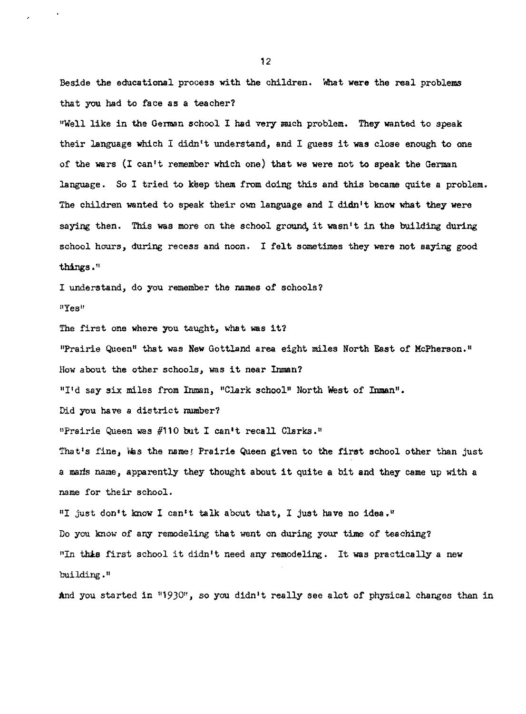Beside the educational process with the children. What **were** the real problems that you had to face as a teacher?

"Well like in the German school I had very much problem. They wanted to speak their language 'Which I didn't understand, and I guess it **was** close enough to one of the wars (I can't remember which one) that we were not to speak the German language. So I tried to keep them from doing this and this became quite a problem. The children wanted to speak their own language and I didn't know what they were saying then. This was more on the school ground it wasn't in the building during school hours, during recess and noon. I felt sometimes they were not saying good things•"

I understand, do you remember the names of schools? **11Yes <sup>11</sup>**

The first one where you taught, what was it?

"Prairie Queen" that was **New** Gottland area eight miles North East of McPherson."

How about the other schools, was it near Inman?

"I'd say six miles from Inman, "Clark school" North West of Inman".

Did you have a district number?

"Prairie Queen was #110 but I can't recall Clarks."

That's fine, Was the name! Prairie Queen given to the first school other than just a marls name, apparently they thought about it quite a bit **and** they came up with a name for their school.

"I just don't know I can't talk about that, I just have no idea." Do you know of any remodeling that went on during your time of teaching? "In this first school it didn't need any remodeling. It was practically a new building."

And you started in "1930", so you didn't really see alot of physical changes than in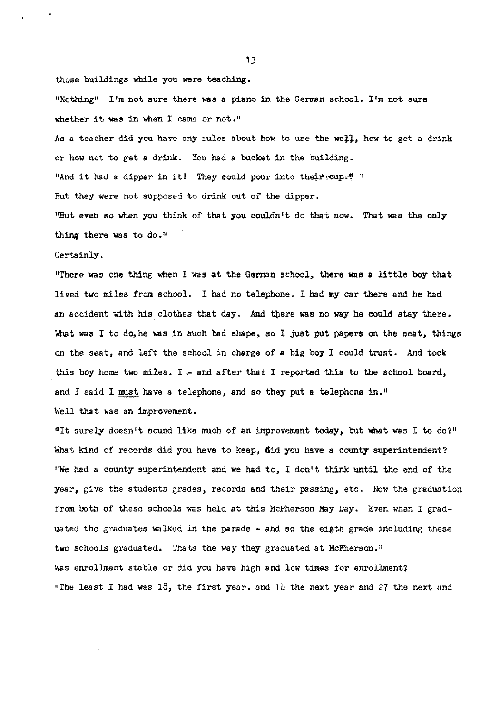"Nothing" I'm not sure there was a piano in the German school. I'm not sure whether it was in when I came or not."

those buildings while you were teaching,

As a teacher did you have any rules about how to use the well, how to get a drink or how not to get a drink. You had a bucket in the building. "And it had a dipper in it! They could pour into their  $coup$ ." But they were not supposed to drink out of the dipper. "But even so when you think of that you couldn't do that now. That was the only thing there was to do.<sup>11</sup>

Certainly.

"There was one thing when I was at the German school, there was a little boy that lived two miles from school. I had no telephone. I had my car there and he had an accident with his clothes that day. And there was no way he could stay there. What was I to do, he was in such bad shape, so I just put papers on the seat, things on the seat, and left the school in charge of a big boy I could trust. And took this boy home two miles. I  $-$  and after that I reported this to the school board, and I said I must have a telephone, and so they put a telephone in." Well that was an improvement.

"It surely doesn't sound like much of an improvement today, but what was I to do?" What kind of records did you have to keep, **did you have a county superintendent?** "We had a county superintendent and we had to, I don't think until the end of the year, give the students grades, records and their passing, etc. Now the graduation from both of these schools was held at this McPherson May Day. Even when I graduated the graduates walked in the parade  $-$  and so the eigth grade including these two schools graduated. Thats the way they graduated at McRherson." Was enrollment stable or did you have high and low times for enrollment? "The least I had was  $18$ , the first year. and  $1\mu$  the next year and 27 the next and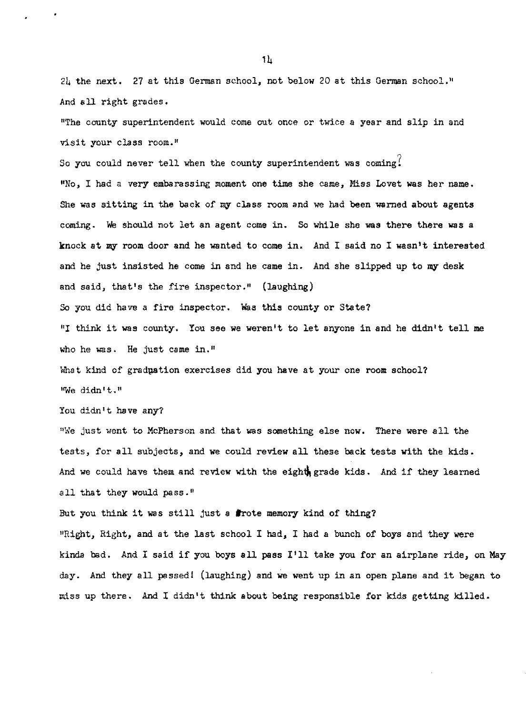24 the next. 27 at this German school, not below 20 at this German school." And all right grades.

"The county superintendent would come out once or twice a year and slip in and visit your class room."

So you could never tell when the county superintendent was coming? 11No, I had a very embarassing moment one time she came, Miss Lovet was her name. She was sitting in the back of my class room and we had been warned about agents coming. We should not let an agent come in. So while she was there there was a knock at my room door and he wanted to come in. And I said no I wasn't interested and he just insisted he come in and he came in. And she slipped up to **my** desk and said, that's the fire inspector." (laughing)

So you did have a fire inspector. Was this county or State?

"I think it was county. You see **we** weren't to let anyone in and he didn't tell me who he was. He just came in."

What kind of gradpation exercises did you have at your one room school? "We didn't."

You didn't have any?

"We just went to McPherson and that was something else now. There were all the tests, for all subjects, and we could review all these back tests with the kids. And we could have them and review with the eight grade kids. And if they learned all that they would pass."

But you think it was still just a **lrote** memory kind of thing?

"Right, Right, and at the last school I had, I had a bunch of boys and they were kinda bad. And I said if you boys all pass I'll take you for an airplane ride, on May day. And they all passed! (laughing) and we went up in an open plane and it began to miss up there. And I didn't think about being responsible for kids getting killed.

 $1<sub>h</sub>$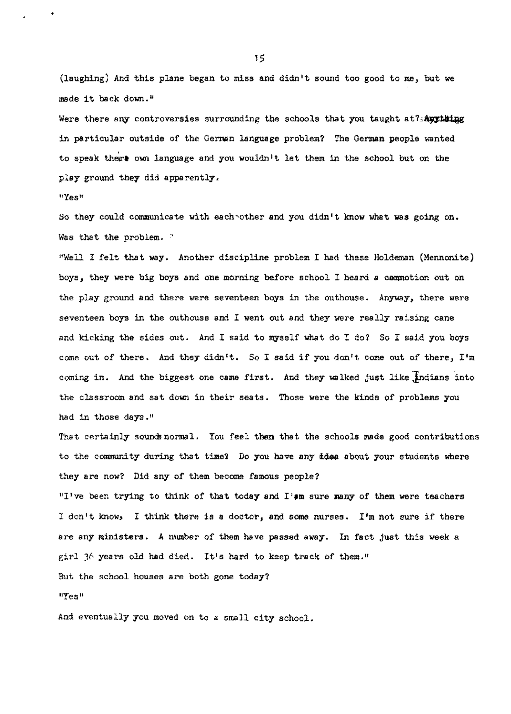(laughing) And this plane began to miss and didn't sound too good to me, but we made it back down."

Were there any controversies surrounding the schools that you taught at?s $A$ ught in particular outside of the German language problem? The German people wanted to speak there own language and you wouldn't let them in the school but on the play ground they did apparently.

**<sup>0</sup> Yesu** 

•

So they could communicate with each other and you didn't know what was going on. Was that the problem. '

"Well I felt that way. Another discipline problem I had these Holdeman (Mennonite) boys, they were big boys and one morning before school I heard a cammotion out on the play ground and there were seventeen boys in the outhouse. Anyway, there were seventeen boys in the outhouse and I went out and they were really raising cane and kicking the sides out. And I said to myself what do I do? So I said you boys come out of there. And they didn't. So I said if you don't come out of there, I'm coming in. And the biggest one came first. And they walked just like indians into the classroom and sat down in their seats. Those were the kinds of' problems you had in those days.<sup>11</sup>

That certainly sounds normal. You feel then that the schools made good contributions to the community during that time? Do you have any *ides* about your students where they are now? Did any of them become famous people?

"I've been trying to think of that today and I'sm sure many of them were teachers I don't know, I think there is a doctor, and some nurses. I'm not sure if there are any ministers. A number of them have passed away. In fact just this week a girl 36 years old had died. It's hard to keep track of them."

But the school houses are both gone today?

**<sup>11</sup>Yes <sup>11</sup>**

And eventually you moved on to a small city school.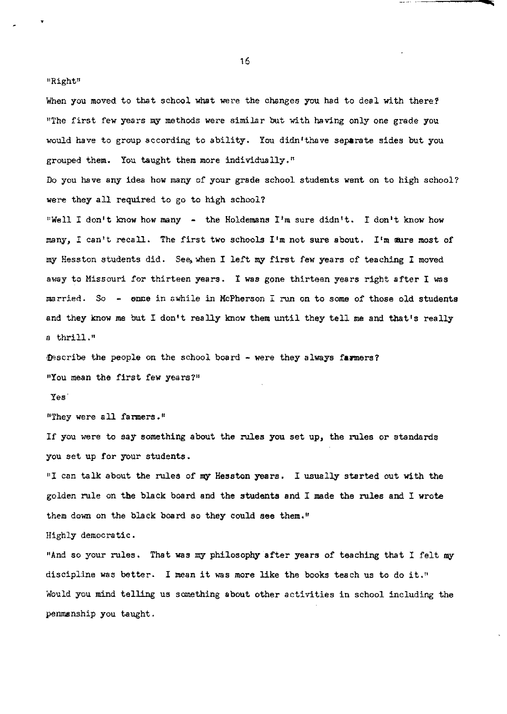"Right"

•

When you moved to that school what were the changes you had to deal with there? "The first few years m;y methods were similar but with having only one grade you would have to group according to ability. You didn'thave separate sides but you grouped them. You taught them more individually."

Do you have any idea how many of your grade school students went on to high school? were they all required to go to high school?

"Well I don't know how many - the Holdemans I'm sure didn't. I don't know how many, I can't recall. The first two schools I'm not sure about. I'm **aure** most of my Hesston students did. See when I left my first few years of teaching I moved away to Missouri for thirteen years. I was gone thirteen years right after I was married. So - enne in awhile in McPherson I run on to some of those old students and they know me but I don't really know them until they tell me and that's really a thrill."

~scribe the people on the school board - were they always **fa:rmers?**  "You mean the first few years?"

Yes'

"They were all farmers."

If you were to say something about the rules you set up, the rules or standards you set up for your students.

"I can talk about the rules of my Hesston years. I usually started out with the golden rule on the black board and the students and I made the rules and I wrote them down on the black board so they could see them."

Highly democratic.

"And so your rules. That was my philosophy after years of teaching that I felt my discipline was better. I mean it was more like the books teach us to do it." Would you mind telling us something about other activities in school including the penmsnship you taught.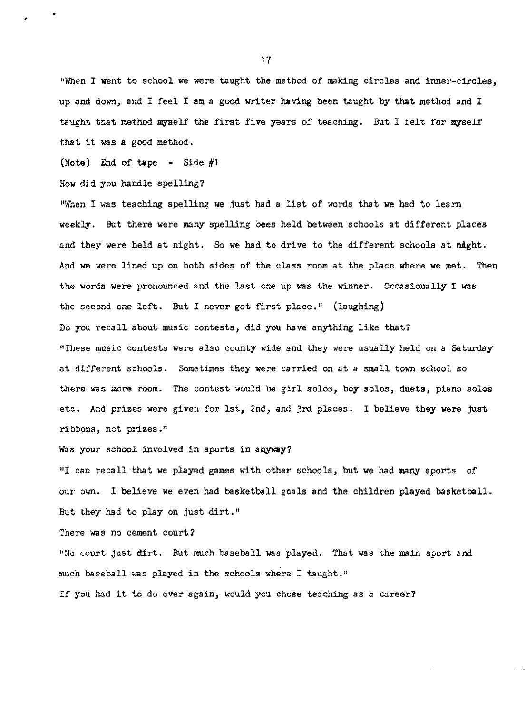"When I went to school we were taught the method of making circles and inner-circles, up and down, and I feel I am a good writer having been taught by that method and I taught that method myself the first five years of teaching. But I felt for myself that it was a good method.

(Note) End of tape - Side  $#1$ 

How did you handle spelling?

•

"When I was teaching spelling we just had a list of words that we had to learn weekly. But there were many spelling bees held between schools at different places and they were held at night. So we had to drive to the different schools at night. And we were lined up on both sides of the class room at the place where we met. Then the words were pronounced and the last one up was the winner. Occasionally I was the second one left. But I never got first place." (laughing) Do you recall about music contests, did you have anything like that? "These music contests were also county wide and they were usually held on a Saturday at different schools. Sometimes they were carried on at a small town school so there was more room. The contest would be girl solos, boy solos, duets, piano solos etc. And prizes were given for 1st, 2nd, and 3rd places. I believe they were just ribbons, not prizes. <sup>11</sup>

Was your school involved in sports in anyway?

"I can recall that we played games with other schools, but we had many sports of our own. I believe we even had basketball goals and the children played basketball. But they had to play on just dirt."

There was no cement court?

"No court just dirt. But much baseball was played. That was the main sport and much baseball was played in the schools where I taught."

If you had it to do over again, would you chose teaching as a career?